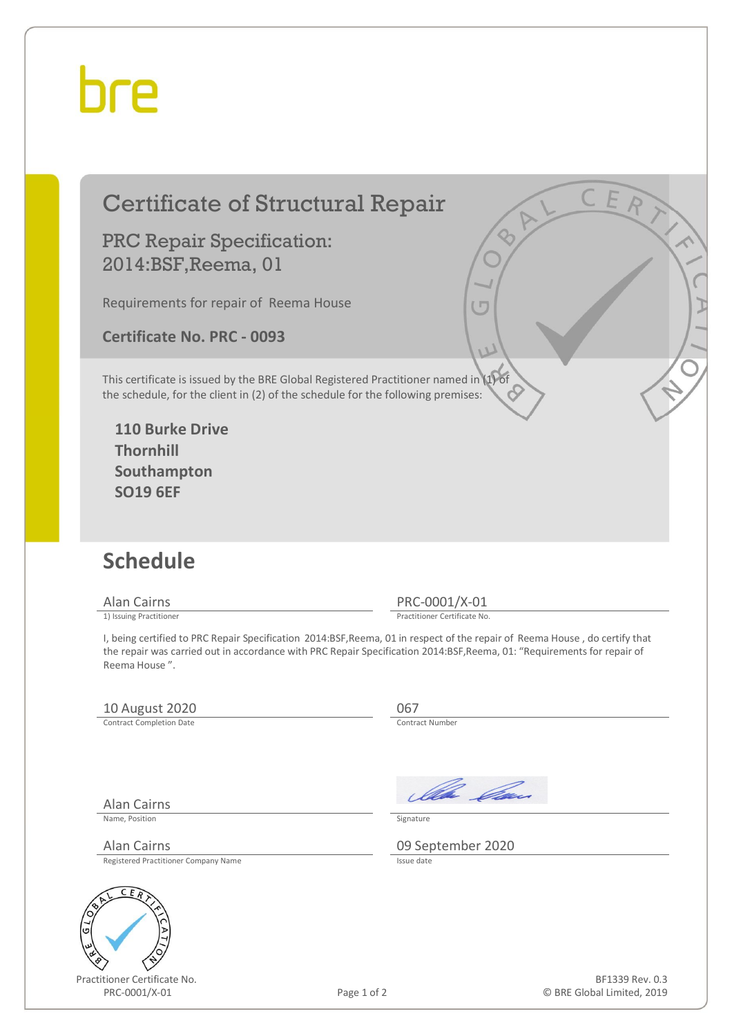## hre

### Certificate of Structural Repair

#### PRC Repair Specification: 2014:BSF,Reema, 01

Requirements for repair of Reema House

**Certificate No. PRC - 0093** 

This certificate is issued by the BRE Global Registered Practitioner named in (1) of the schedule, for the client in (2) of the schedule for the following premises:

**110 Burke Drive Thornhill Southampton SO19 6EF** 

#### **Schedule**

Alan Cairns PRC-0001/X-01<br>
1) Issuing Practitioner<br>
Practitioner Certificate No

Practitioner Certificate No.

I, being certified to PRC Repair Specification 2014:BSF,Reema, 01 in respect of the repair of Reema House , do certify that the repair was carried out in accordance with PRC Repair Specification 2014:BSF,Reema, 01: "Requirements for repair of Reema House ".

#### 10 August 2020<br>
Contract Completion Date

Contract Completion Date

Alan Cairns

Ila *Da*u

Name, Position Signature

Alan Cairns 09 September 2020

Registered Practitioner Company Name



Practitioner Certificate No. PRC-0001/X-01 Page 1 of 2